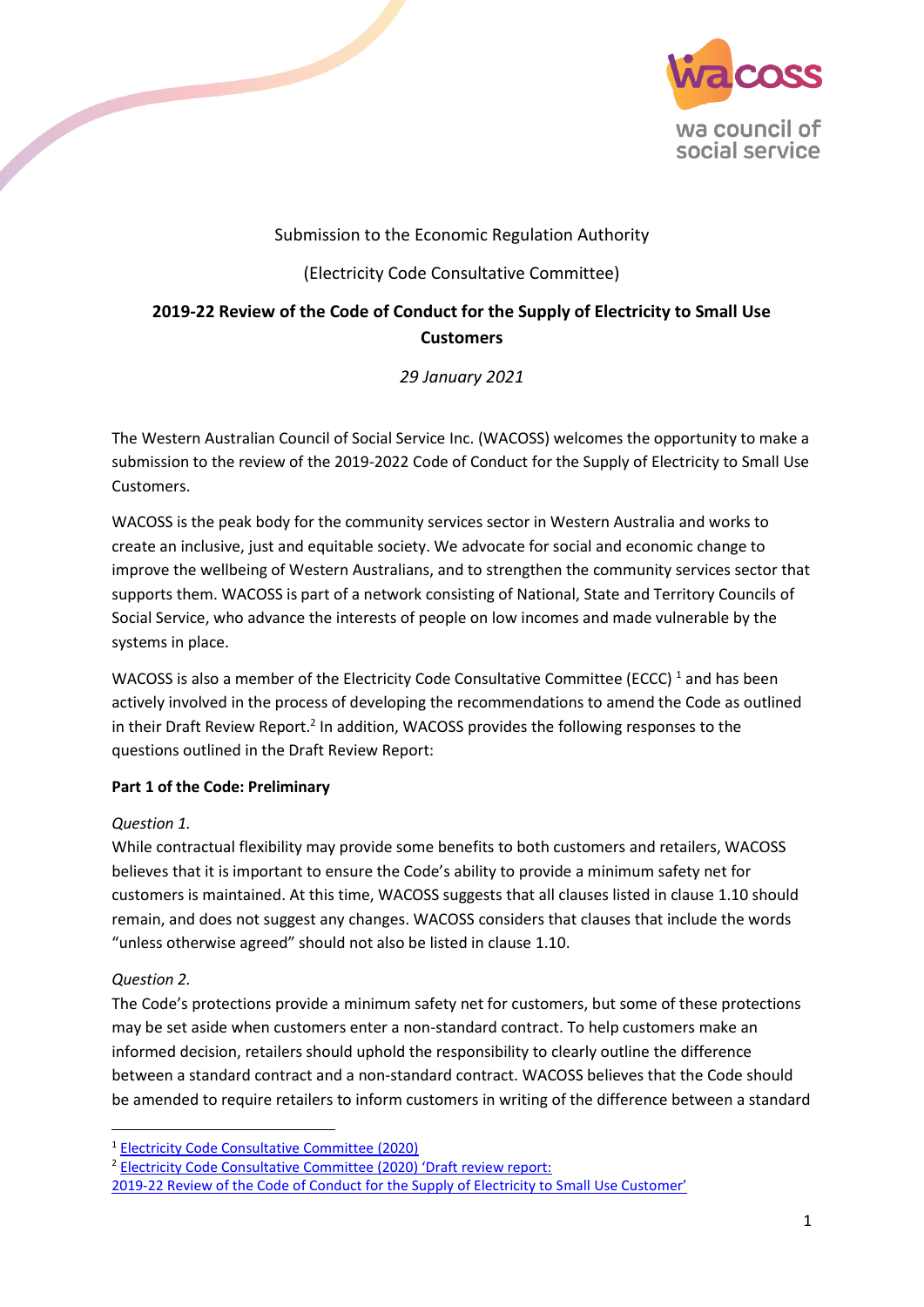

# Submission to the Economic Regulation Authority

# (Electricity Code Consultative Committee)

# **2019-22 Review of the Code of Conduct for the Supply of Electricity to Small Use Customers**

*29 January 2021*

The Western Australian Council of Social Service Inc. (WACOSS) welcomes the opportunity to make a submission to the review of the 2019-2022 Code of Conduct for the Supply of Electricity to Small Use Customers.

WACOSS is the peak body for the community services sector in Western Australia and works to create an inclusive, just and equitable society. We advocate for social and economic change to improve the wellbeing of Western Australians, and to strengthen the community services sector that supports them. WACOSS is part of a network consisting of National, State and Territory Councils of Social Service, who advance the interests of people on low incomes and made vulnerable by the systems in place.

WACOSS is also a member of the Electricity Code Consultative Committee (ECCC)<sup>1</sup> and has been actively involved in the process of developing the recommendations to amend the Code as outlined in their Draft Review Report.<sup>2</sup> In addition, WACOSS provides the following responses to the questions outlined in the Draft Review Report:

# **Part 1 of the Code: Preliminary**

### *Question 1.*

**Contract Contract Contract Contract Contract Contract Contract Contract Contract Contract Contract Contract Contract Contract Contract Contract Contract Contract Contract Contract Contract Contract Contract Contract Contr** 

While contractual flexibility may provide some benefits to both customers and retailers, WACOSS believes that it is important to ensure the Code's ability to provide a minimum safety net for customers is maintained. At this time, WACOSS suggests that all clauses listed in clause 1.10 should remain, and does not suggest any changes. WACOSS considers that clauses that include the words "unless otherwise agreed" should not also be listed in clause 1.10.

# *Question 2.*

**.** 

The Code's protections provide a minimum safety net for customers, but some of these protections may be set aside when customers enter a non-standard contract. To help customers make an informed decision, retailers should uphold the responsibility to clearly outline the difference between a standard contract and a non-standard contract. WACOSS believes that the Code should be amended to require retailers to inform customers in writing of the difference between a standard

<sup>2</sup> [Electricity Code Consultative Committee \(2020\) 'Draft review report:](https://www.erawa.com.au/cproot/21599/2/Draft-Review-Report---excluding-appendices---2019-22-Electricity-Code-review.pdf) 

<sup>1</sup> [Electricity Code Consultative Committee](https://www.erawa.com.au/electricity/electricity-licensing/code-of-conduct-for-the-supply-of-electricity-to-small-use-customers/electricity-code-consultative-committee-eccc) (2020)

[<sup>2019-22</sup> Review of the Code of Conduct for the Supply of Electricity to S](https://www.erawa.com.au/cproot/21599/2/Draft-Review-Report---excluding-appendices---2019-22-Electricity-Code-review.pdf)mall Use Customer'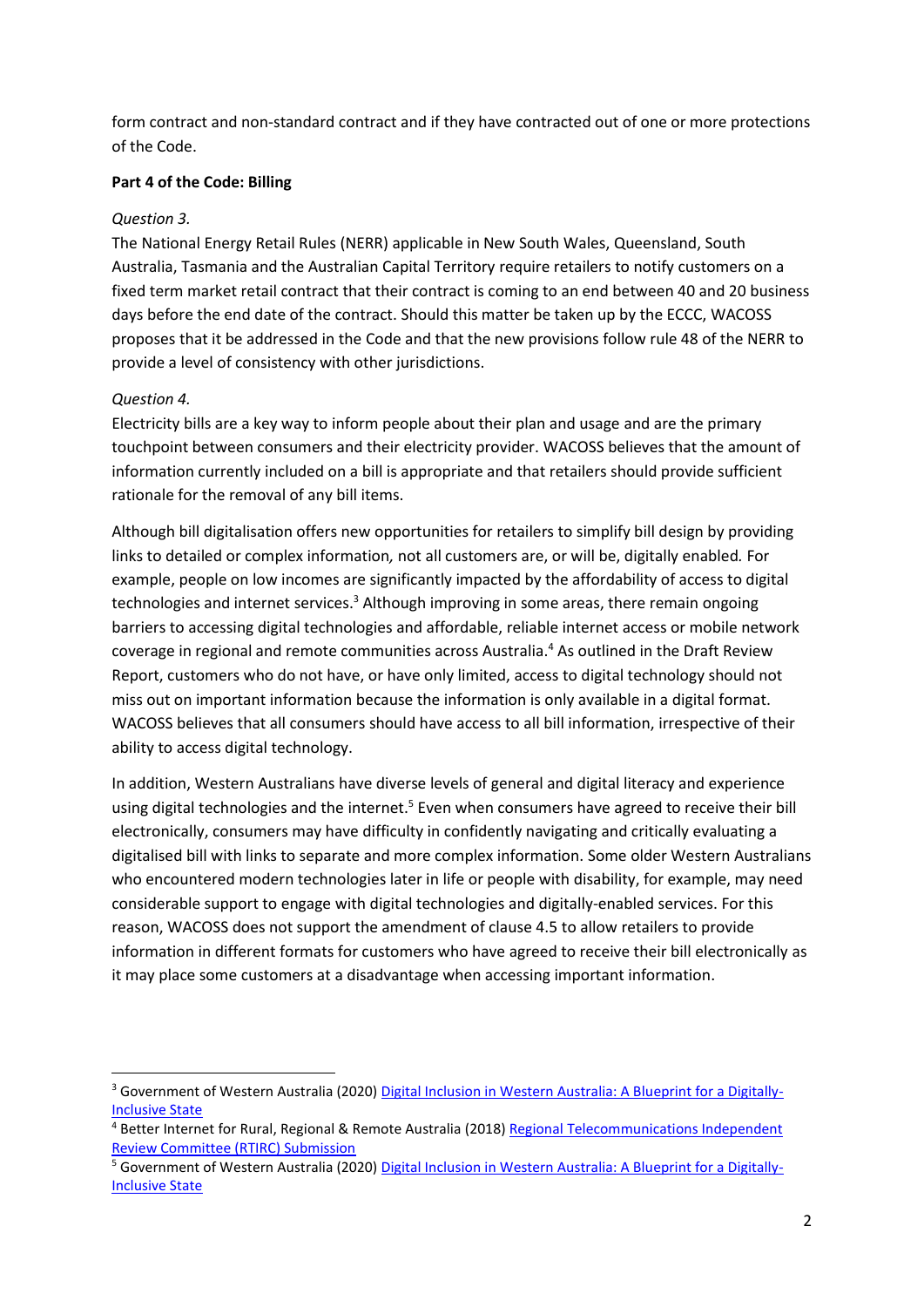form contract and non-standard contract and if they have contracted out of one or more protections of the Code.

#### **Part 4 of the Code: Billing**

#### *Question 3.*

The National Energy Retail Rules (NERR) applicable in New South Wales, Queensland, South Australia, Tasmania and the Australian Capital Territory require retailers to notify customers on a fixed term market retail contract that their contract is coming to an end between 40 and 20 business days before the end date of the contract. Should this matter be taken up by the ECCC, WACOSS proposes that it be addressed in the Code and that the new provisions follow rule 48 of the NERR to provide a level of consistency with other jurisdictions.

#### *Question 4.*

**.** 

Electricity bills are a key way to inform people about their plan and usage and are the primary touchpoint between consumers and their electricity provider. WACOSS believes that the amount of information currently included on a bill is appropriate and that retailers should provide sufficient rationale for the removal of any bill items.

Although bill digitalisation offers new opportunities for retailers to simplify bill design by providing links to detailed or complex information*,* not all customers are, or will be, digitally enabled*.* For example, people on low incomes are significantly impacted by the affordability of access to digital technologies and internet services.<sup>3</sup> Although improving in some areas, there remain ongoing barriers to accessing digital technologies and affordable, reliable internet access or mobile network coverage in regional and remote communities across Australia. <sup>4</sup> As outlined in the Draft Review Report, customers who do not have, or have only limited, access to digital technology should not miss out on important information because the information is only available in a digital format. WACOSS believes that all consumers should have access to all bill information, irrespective of their ability to access digital technology.

In addition, Western Australians have diverse levels of general and digital literacy and experience using digital technologies and the internet.<sup>5</sup> Even when consumers have agreed to receive their bill electronically, consumers may have difficulty in confidently navigating and critically evaluating a digitalised bill with links to separate and more complex information. Some older Western Australians who encountered modern technologies later in life or people with disability, for example, may need considerable support to engage with digital technologies and digitally-enabled services. For this reason, WACOSS does not support the amendment of clause 4.5 to allow retailers to provide information in different formats for customers who have agreed to receive their bill electronically as it may place some customers at a disadvantage when accessing important information.

<sup>&</sup>lt;sup>3</sup> Government of Western Australia (2020[\) Digital Inclusion in Western Australia: A Blueprint for a Digitally-](https://www.wa.gov.au/sites/default/files/2020-07/Consultation%20draft.%20A%20Blueprint%20for%20a%20digitally-inclusive%20state_6.pdf)[Inclusive State](https://www.wa.gov.au/sites/default/files/2020-07/Consultation%20draft.%20A%20Blueprint%20for%20a%20digitally-inclusive%20state_6.pdf)

<sup>4</sup> Better Internet for Rural, Regional & Remote Australia (2018) [Regional Telecommunications Independent](https://www.communications.gov.au/sites/default/files/submissions/better_internet_for_rural_regional_remote_australia_birrr.pdf?acsf_files_redirect)  [Review Committee \(RTIRC\) Submission](https://www.communications.gov.au/sites/default/files/submissions/better_internet_for_rural_regional_remote_australia_birrr.pdf?acsf_files_redirect)

<sup>&</sup>lt;sup>5</sup> Government of Western Australia (2020[\) Digital Inclusion in Western Australia: A Blueprint for a Digitally-](https://www.wa.gov.au/sites/default/files/2020-07/Consultation%20draft.%20A%20Blueprint%20for%20a%20digitally-inclusive%20state_6.pdf)[Inclusive State](https://www.wa.gov.au/sites/default/files/2020-07/Consultation%20draft.%20A%20Blueprint%20for%20a%20digitally-inclusive%20state_6.pdf)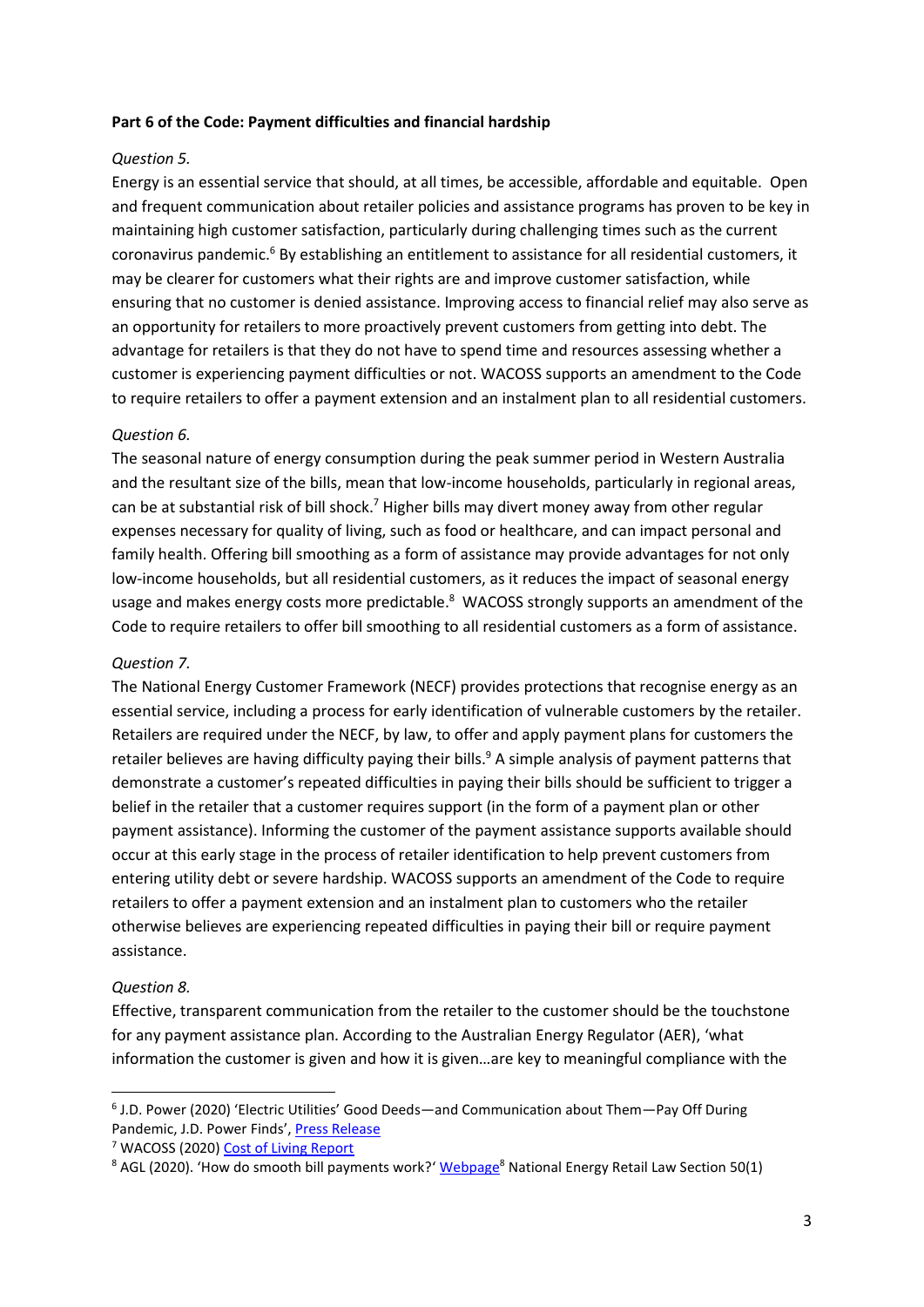#### **Part 6 of the Code: Payment difficulties and financial hardship**

### *Question 5.*

Energy is an essential service that should, at all times, be accessible, affordable and equitable. Open and frequent communication about retailer policies and assistance programs has proven to be key in maintaining high customer satisfaction, particularly during challenging times such as the current coronavirus pandemic.<sup>6</sup> By establishing an entitlement to assistance for all residential customers, it may be clearer for customers what their rights are and improve customer satisfaction, while ensuring that no customer is denied assistance. Improving access to financial relief may also serve as an opportunity for retailers to more proactively prevent customers from getting into debt. The advantage for retailers is that they do not have to spend time and resources assessing whether a customer is experiencing payment difficulties or not. WACOSS supports an amendment to the Code to require retailers to offer a payment extension and an instalment plan to all residential customers.

#### *Question 6.*

The seasonal nature of energy consumption during the peak summer period in Western Australia and the resultant size of the bills, mean that low-income households, particularly in regional areas, can be at substantial risk of bill shock.<sup>7</sup> Higher bills may divert money away from other regular expenses necessary for quality of living, such as food or healthcare, and can impact personal and family health. Offering bill smoothing as a form of assistance may provide advantages for not only low-income households, but all residential customers, as it reduces the impact of seasonal energy usage and makes energy costs more predictable.<sup>8</sup> WACOSS strongly supports an amendment of the Code to require retailers to offer bill smoothing to all residential customers as a form of assistance.

#### *Question 7.*

The National Energy Customer Framework (NECF) provides protections that recognise energy as an essential service, including a process for early identification of vulnerable customers by the retailer. Retailers are required under the NECF, by law, to offer and apply payment plans for customers the retailer believes are having difficulty paying their bills.<sup>9</sup> A simple analysis of payment patterns that demonstrate a customer's repeated difficulties in paying their bills should be sufficient to trigger a belief in the retailer that a customer requires support (in the form of a payment plan or other payment assistance). Informing the customer of the payment assistance supports available should occur at this early stage in the process of retailer identification to help prevent customers from entering utility debt or severe hardship. WACOSS supports an amendment of the Code to require retailers to offer a payment extension and an instalment plan to customers who the retailer otherwise believes are experiencing repeated difficulties in paying their bill or require payment assistance.

#### *Question 8.*

 $\overline{\phantom{a}}$ 

Effective, transparent communication from the retailer to the customer should be the touchstone for any payment assistance plan. According to the Australian Energy Regulator (AER), 'what information the customer is given and how it is given…are key to meaningful compliance with the

<sup>&</sup>lt;sup>6</sup> J.D. Power (2020) 'Electric Utilities' Good Deeds—and Communication about Them—Pay Off During Pandemic, J.D. Power Finds', [Press Release](https://www.jdpower.com/business/press-releases/2020-electric-utility-residential-customer-satisfaction-study)

<sup>7</sup> WACOSS (2020) [Cost of Living Report](https://wacoss.org.au/wp-content/uploads/2020/12/Cost-of-Living-Report-2020.pdf)

<sup>&</sup>lt;sup>8</sup> AGL (2020). 'How do smooth bill payments work?' [Webpage](https://community.agl.com.au/t5/Billing-and-Payments/How-do-smooth-bill-payments-work/ta-p/214)<sup>8</sup> National Energy Retail Law Section 50(1)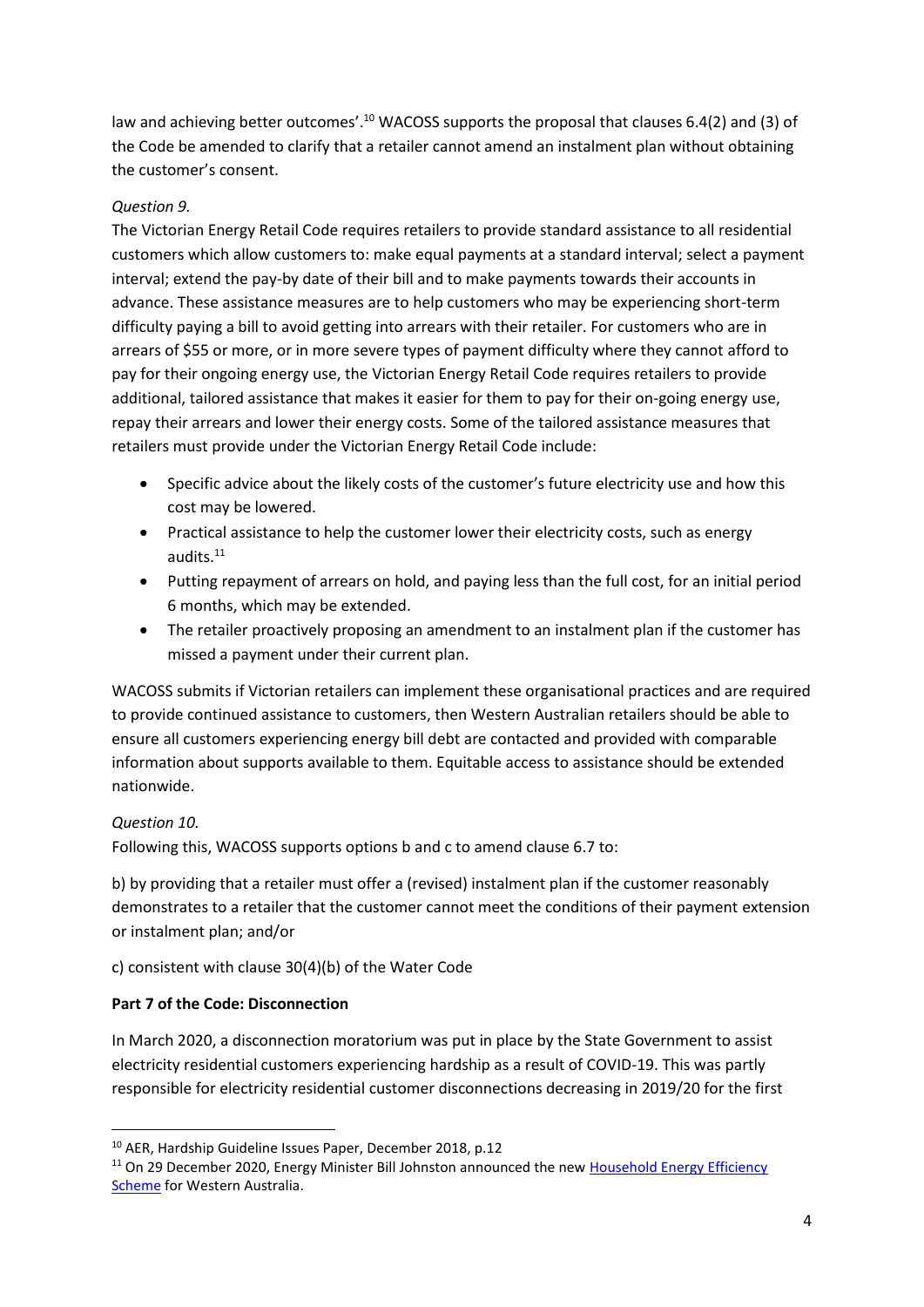law and achieving better outcomes'.<sup>10</sup> WACOSS supports the proposal that clauses 6.4(2) and (3) of the Code be amended to clarify that a retailer cannot amend an instalment plan without obtaining the customer's consent.

### *Question 9.*

The Victorian Energy Retail Code requires retailers to provide standard assistance to all residential customers which allow customers to: make equal payments at a standard interval; select a payment interval; extend the pay-by date of their bill and to make payments towards their accounts in advance. These assistance measures are to help customers who may be experiencing short-term difficulty paying a bill to avoid getting into arrears with their retailer. For customers who are in arrears of \$55 or more, or in more severe types of payment difficulty where they cannot afford to pay for their ongoing energy use, the Victorian Energy Retail Code requires retailers to provide additional, tailored assistance that makes it easier for them to pay for their on-going energy use, repay their arrears and lower their energy costs. Some of the tailored assistance measures that retailers must provide under the Victorian Energy Retail Code include:

- Specific advice about the likely costs of the customer's future electricity use and how this cost may be lowered.
- Practical assistance to help the customer lower their electricity costs, such as energy audits.<sup>11</sup>
- Putting repayment of arrears on hold, and paying less than the full cost, for an initial period 6 months, which may be extended.
- The retailer proactively proposing an amendment to an instalment plan if the customer has missed a payment under their current plan.

WACOSS submits if Victorian retailers can implement these organisational practices and are required to provide continued assistance to customers, then Western Australian retailers should be able to ensure all customers experiencing energy bill debt are contacted and provided with comparable information about supports available to them. Equitable access to assistance should be extended nationwide.

### *Question 10.*

**.** 

Following this, WACOSS supports options b and c to amend clause 6.7 to:

b) by providing that a retailer must offer a (revised) instalment plan if the customer reasonably demonstrates to a retailer that the customer cannot meet the conditions of their payment extension or instalment plan; and/or

c) consistent with clause 30(4)(b) of the Water Code

### **Part 7 of the Code: Disconnection**

In March 2020, a disconnection moratorium was put in place by the State Government to assist electricity residential customers experiencing hardship as a result of COVID-19. This was partly responsible for electricity residential customer disconnections decreasing in 2019/20 for the first

<sup>10</sup> AER, Hardship Guideline Issues Paper, December 2018, p.12

<sup>&</sup>lt;sup>11</sup> On 29 December 2020, Energy Minister Bill Johnston announced the new Household Energy Efficiency [Scheme](https://www.wa.gov.au/government/announcements/household-energy-efficiency-scheme) for Western Australia.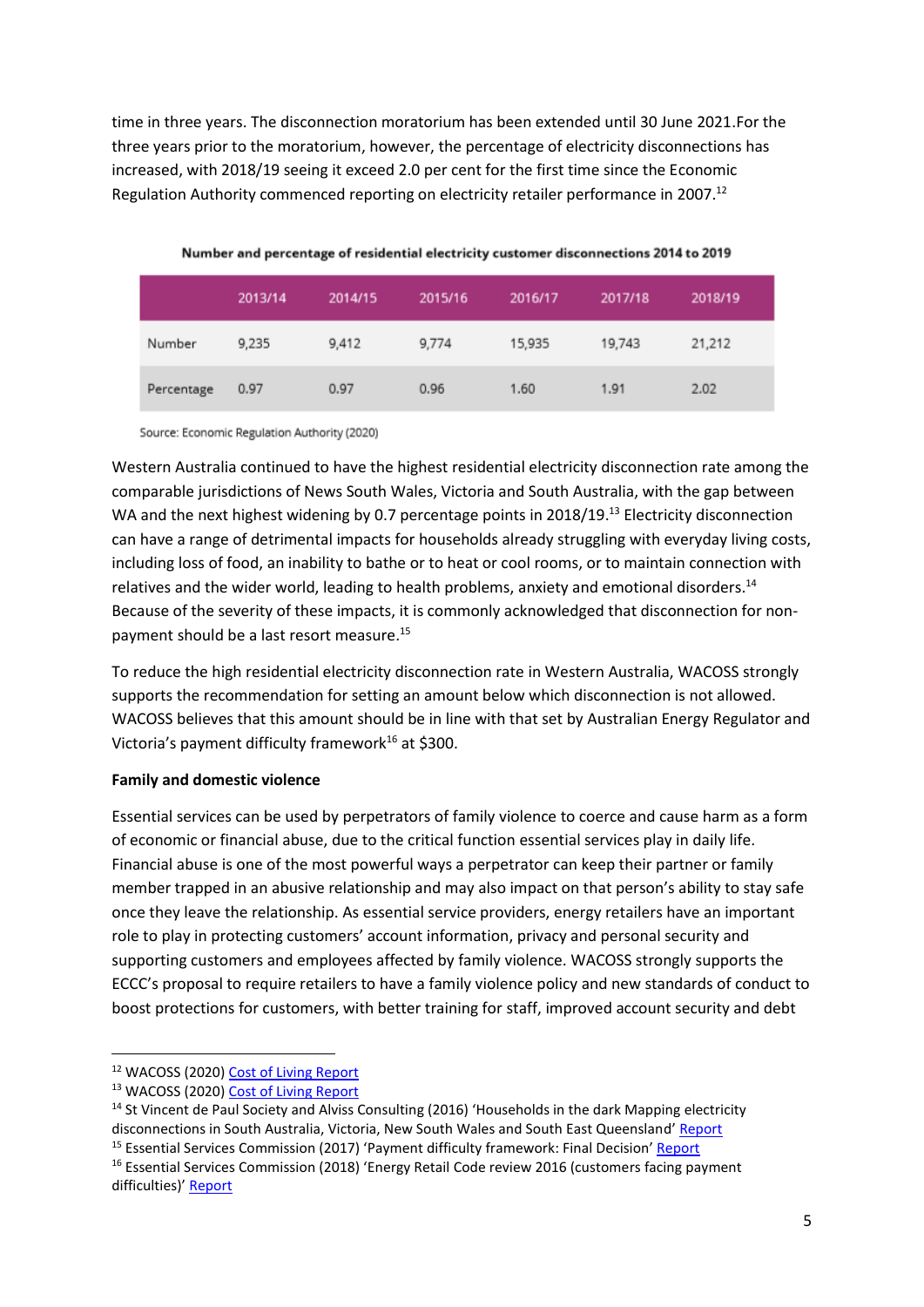time in three years. The disconnection moratorium has been extended until 30 June 2021.For the three years prior to the moratorium, however, the percentage of electricity disconnections has increased, with 2018/19 seeing it exceed 2.0 per cent for the first time since the Economic Regulation Authority commenced reporting on electricity retailer performance in 2007.<sup>12</sup>

|            | 2013/14 | 2014/15 | 2015/16 | 2016/17 | 2017/18 | 2018/19 |
|------------|---------|---------|---------|---------|---------|---------|
| Number     | 9,235   | 9,412   | 9,774   | 15,935  | 19,743  | 21,212  |
| Percentage | 0.97    | 0.97    | 0.96    | 1.60    | 1.91    | 2.02    |

Number and percentage of residential electricity customer disconnections 2014 to 2019

Source: Economic Regulation Authority (2020)

Western Australia continued to have the highest residential electricity disconnection rate among the comparable jurisdictions of News South Wales, Victoria and South Australia, with the gap between WA and the next highest widening by 0.7 percentage points in 2018/19.<sup>13</sup> Electricity disconnection can have a range of detrimental impacts for households already struggling with everyday living costs, including loss of food, an inability to bathe or to heat or cool rooms, or to maintain connection with relatives and the wider world, leading to health problems, anxiety and emotional disorders.<sup>14</sup> Because of the severity of these impacts, it is commonly acknowledged that disconnection for nonpayment should be a last resort measure.<sup>15</sup>

To reduce the high residential electricity disconnection rate in Western Australia, WACOSS strongly supports the recommendation for setting an amount below which disconnection is not allowed. WACOSS believes that this amount should be in line with that set by Australian Energy Regulator and Victoria's payment difficulty framework<sup>16</sup> at \$300.

### **Family and domestic violence**

Essential services can be used by perpetrators of family violence to coerce and cause harm as a form of economic or financial abuse, due to the critical function essential services play in daily life. Financial abuse is one of the most powerful ways a perpetrator can keep their partner or family member trapped in an abusive relationship and may also impact on that person's ability to stay safe once they leave the relationship. As essential service providers, energy retailers have an important role to play in protecting customers' account information, privacy and personal security and supporting customers and employees affected by family violence. WACOSS strongly supports the ECCC's proposal to require retailers to have a family violence policy and new standards of conduct to boost protections for customers, with better training for staff, improved account security and debt

 $\overline{\phantom{a}}$ 

<sup>12</sup> WACOSS (2020[\) Cost of Living Report](https://wacoss.org.au/wp-content/uploads/2020/12/Cost-of-Living-Report-2020.pdf)

<sup>13</sup> WACOSS (2020[\) Cost of Living Report](https://wacoss.org.au/wp-content/uploads/2020/12/Cost-of-Living-Report-2020.pdf)

<sup>&</sup>lt;sup>14</sup> St Vincent de Paul Society and Alviss Consulting (2016) 'Households in the dark Mapping electricity disconnections in South Australia, Victoria, New South Wales and South East Queensland' [Report](https://www.vinnies.org.au/content/Document/VIC/2016-June-Households-in-the-dark2.pdf)

<sup>&</sup>lt;sup>15</sup> Essential Services Commission (2017) 'Payment difficulty framework: Final Decision' [Report](https://www.esc.vic.gov.au/sites/default/files/documents/payment-difficulty-framework-final-decision-20171009.pdf)

<sup>&</sup>lt;sup>16</sup> Essential Services Commission (2018) 'Energy Retail Code review 2016 (customers facing payment difficulties)' [Report](https://www.esc.vic.gov.au/electricity-and-gas/codes-guidelines-and-policies/energy-retail-code/energy-retail-code-review-2016-customers-facing-payment-difficulties)